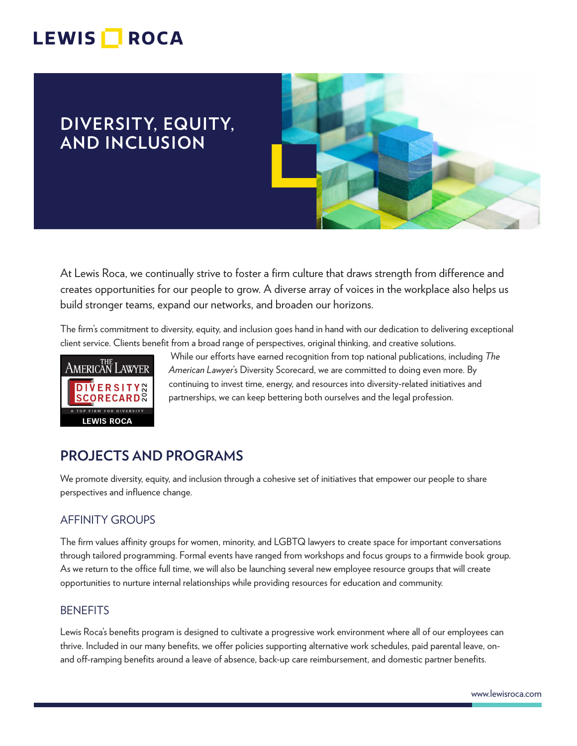## LEWIS **NOCA**

## **DIVERSITY, EQUITY, AND INCLUSION**



At Lewis Roca, we continually strive to foster a firm culture that draws strength from difference and creates opportunities for our people to grow. A diverse array of voices in the workplace also helps us build stronger teams, expand our networks, and broaden our horizons.

The firm's commitment to diversity, equity, and inclusion goes hand in hand with our dedication to delivering exceptional client service. Clients benefit from a broad range of perspectives, original thinking, and creative solutions.



 While our efforts have earned recognition from top national publications, including *The American Lawyer*'s Diversity Scorecard, we are committed to doing even more. By continuing to invest time, energy, and resources into diversity-related initiatives and partnerships, we can keep bettering both ourselves and the legal profession.

## **PROJECTS AND PROGRAMS**

We promote diversity, equity, and inclusion through a cohesive set of initiatives that empower our people to share perspectives and influence change.

#### AFFINITY GROUPS

The firm values affinity groups for women, minority, and LGBTQ lawyers to create space for important conversations through tailored programming. Formal events have ranged from workshops and focus groups to a firmwide book group. As we return to the office full time, we will also be launching several new employee resource groups that will create opportunities to nurture internal relationships while providing resources for education and community.

#### **BENEFITS**

Lewis Roca's benefits program is designed to cultivate a progressive work environment where all of our employees can thrive. Included in our many benefits, we offer policies supporting alternative work schedules, paid parental leave, onand off-ramping benefits around a leave of absence, back-up care reimbursement, and domestic partner benefits.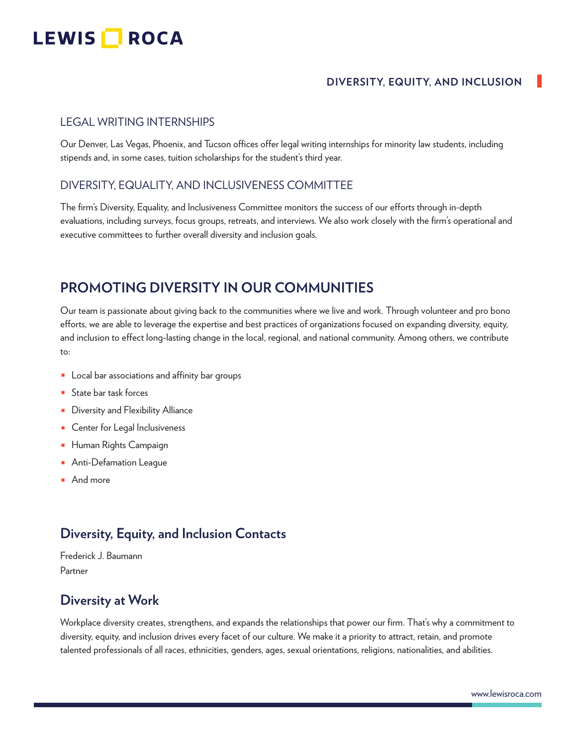# LEWIS **NOCA**

#### **DIVERSITY, EQUITY, AND INCLUSION**

#### LEGAL WRITING INTERNSHIPS

Our Denver, Las Vegas, Phoenix, and Tucson offices offer legal writing internships for minority law students, including stipends and, in some cases, tuition scholarships for the student's third year.

#### DIVERSITY, EQUALITY, AND INCLUSIVENESS COMMITTEE

The firm's Diversity, Equality, and Inclusiveness Committee monitors the success of our efforts through in-depth evaluations, including surveys, focus groups, retreats, and interviews. We also work closely with the firm's operational and executive committees to further overall diversity and inclusion goals.

### **PROMOTING DIVERSITY IN OUR COMMUNITIES**

Our team is passionate about giving back to the communities where we live and work. Through volunteer and pro bono efforts, we are able to leverage the expertise and best practices of organizations focused on expanding diversity, equity, and inclusion to effect long-lasting change in the local, regional, and national community. Among others, we contribute to:

- Local bar associations and affinity bar groups
- State bar task forces
- Diversity and Flexibility Alliance
- Center for Legal Inclusiveness
- Human Rights Campaign
- Anti-Defamation League
- And more

### **Diversity, Equity, and Inclusion Contacts**

Frederick J. Baumann Partner

### **Diversity at Work**

Workplace diversity creates, strengthens, and expands the relationships that power our firm. That's why a commitment to diversity, equity, and inclusion drives every facet of our culture. We make it a priority to attract, retain, and promote talented professionals of all races, ethnicities, genders, ages, sexual orientations, religions, nationalities, and abilities.